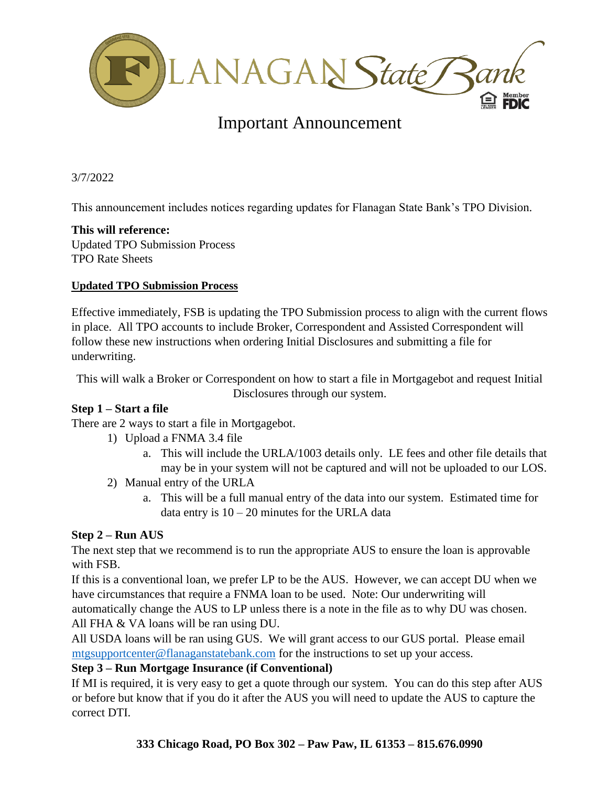

# Important Announcement

3/7/2022

This announcement includes notices regarding updates for Flanagan State Bank's TPO Division.

### **This will reference:**

Updated TPO Submission Process TPO Rate Sheets

### **Updated TPO Submission Process**

Effective immediately, FSB is updating the TPO Submission process to align with the current flows in place. All TPO accounts to include Broker, Correspondent and Assisted Correspondent will follow these new instructions when ordering Initial Disclosures and submitting a file for underwriting.

This will walk a Broker or Correspondent on how to start a file in Mortgagebot and request Initial Disclosures through our system.

### **Step 1 – Start a file**

There are 2 ways to start a file in Mortgagebot.

- 1) Upload a FNMA 3.4 file
	- a. This will include the URLA/1003 details only. LE fees and other file details that may be in your system will not be captured and will not be uploaded to our LOS.
- 2) Manual entry of the URLA
	- a. This will be a full manual entry of the data into our system. Estimated time for data entry is  $10 - 20$  minutes for the URLA data

## **Step 2 – Run AUS**

The next step that we recommend is to run the appropriate AUS to ensure the loan is approvable with FSB.

If this is a conventional loan, we prefer LP to be the AUS. However, we can accept DU when we have circumstances that require a FNMA loan to be used. Note: Our underwriting will automatically change the AUS to LP unless there is a note in the file as to why DU was chosen. All FHA & VA loans will be ran using DU.

All USDA loans will be ran using GUS. We will grant access to our GUS portal. Please email [mtgsupportcenter@flanaganstatebank.com](mailto:mtgsupportcenter@flanaganstatebank.com) for the instructions to set up your access.

### **Step 3 – Run Mortgage Insurance (if Conventional)**

If MI is required, it is very easy to get a quote through our system. You can do this step after AUS or before but know that if you do it after the AUS you will need to update the AUS to capture the correct DTI.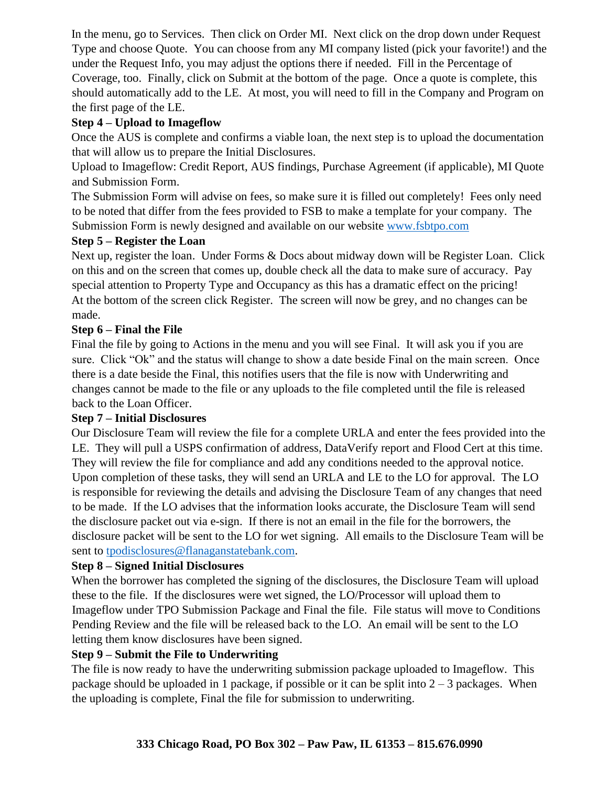In the menu, go to Services. Then click on Order MI. Next click on the drop down under Request Type and choose Quote. You can choose from any MI company listed (pick your favorite!) and the under the Request Info, you may adjust the options there if needed. Fill in the Percentage of Coverage, too. Finally, click on Submit at the bottom of the page. Once a quote is complete, this should automatically add to the LE. At most, you will need to fill in the Company and Program on the first page of the LE.

## **Step 4 – Upload to Imageflow**

Once the AUS is complete and confirms a viable loan, the next step is to upload the documentation that will allow us to prepare the Initial Disclosures.

Upload to Imageflow: Credit Report, AUS findings, Purchase Agreement (if applicable), MI Quote and Submission Form.

The Submission Form will advise on fees, so make sure it is filled out completely! Fees only need to be noted that differ from the fees provided to FSB to make a template for your company. The Submission Form is newly designed and available on our website [www.fsbtpo.com](http://www.fsbtpo.com/)

## **Step 5 – Register the Loan**

Next up, register the loan. Under Forms & Docs about midway down will be Register Loan. Click on this and on the screen that comes up, double check all the data to make sure of accuracy. Pay special attention to Property Type and Occupancy as this has a dramatic effect on the pricing! At the bottom of the screen click Register. The screen will now be grey, and no changes can be made.

## **Step 6 – Final the File**

Final the file by going to Actions in the menu and you will see Final. It will ask you if you are sure. Click "Ok" and the status will change to show a date beside Final on the main screen. Once there is a date beside the Final, this notifies users that the file is now with Underwriting and changes cannot be made to the file or any uploads to the file completed until the file is released back to the Loan Officer.

## **Step 7 – Initial Disclosures**

Our Disclosure Team will review the file for a complete URLA and enter the fees provided into the LE. They will pull a USPS confirmation of address, DataVerify report and Flood Cert at this time. They will review the file for compliance and add any conditions needed to the approval notice. Upon completion of these tasks, they will send an URLA and LE to the LO for approval. The LO is responsible for reviewing the details and advising the Disclosure Team of any changes that need to be made. If the LO advises that the information looks accurate, the Disclosure Team will send the disclosure packet out via e-sign. If there is not an email in the file for the borrowers, the disclosure packet will be sent to the LO for wet signing. All emails to the Disclosure Team will be sent to [tpodisclosures@flanaganstatebank.com.](mailto:tpodisclosures@flanaganstatebank.com)

### **Step 8 – Signed Initial Disclosures**

When the borrower has completed the signing of the disclosures, the Disclosure Team will upload these to the file. If the disclosures were wet signed, the LO/Processor will upload them to Imageflow under TPO Submission Package and Final the file. File status will move to Conditions Pending Review and the file will be released back to the LO. An email will be sent to the LO letting them know disclosures have been signed.

### **Step 9 – Submit the File to Underwriting**

The file is now ready to have the underwriting submission package uploaded to Imageflow. This package should be uploaded in 1 package, if possible or it can be split into  $2 - 3$  packages. When the uploading is complete, Final the file for submission to underwriting.